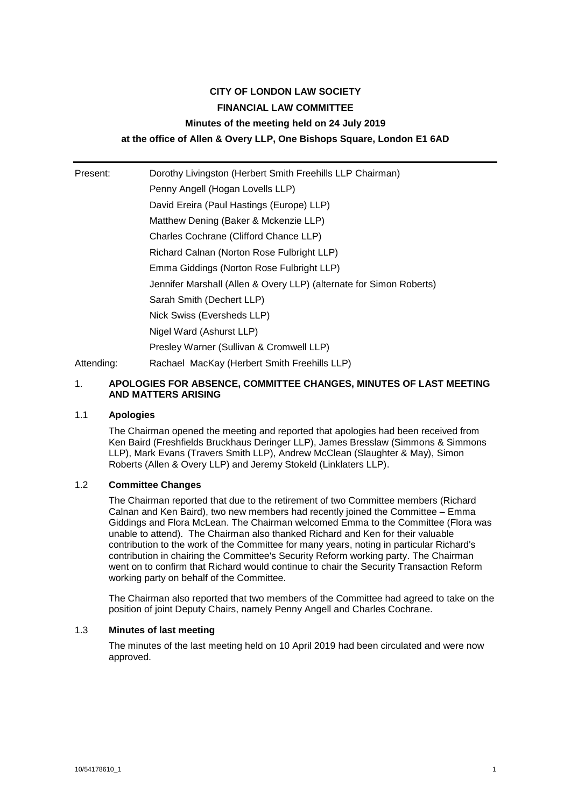# **CITY OF LONDON LAW SOCIETY FINANCIAL LAW COMMITTEE Minutes of the meeting held on 24 July 2019 at the office of Allen & Overy LLP, One Bishops Square, London E1 6AD**

Present: Dorothy Livingston (Herbert Smith Freehills LLP Chairman) Penny Angell (Hogan Lovells LLP) David Ereira (Paul Hastings (Europe) LLP) Matthew Dening (Baker & Mckenzie LLP) Charles Cochrane (Clifford Chance LLP) Richard Calnan (Norton Rose Fulbright LLP) Emma Giddings (Norton Rose Fulbright LLP) Jennifer Marshall (Allen & Overy LLP) (alternate for Simon Roberts) Sarah Smith (Dechert LLP) Nick Swiss (Eversheds LLP) Nigel Ward (Ashurst LLP) Presley Warner (Sullivan & Cromwell LLP) Attending: Rachael MacKay (Herbert Smith Freehills LLP)

# 1. **APOLOGIES FOR ABSENCE, COMMITTEE CHANGES, MINUTES OF LAST MEETING AND MATTERS ARISING**

# 1.1 **Apologies**

The Chairman opened the meeting and reported that apologies had been received from Ken Baird (Freshfields Bruckhaus Deringer LLP), James Bresslaw (Simmons & Simmons LLP), Mark Evans (Travers Smith LLP), Andrew McClean (Slaughter & May), Simon Roberts (Allen & Overy LLP) and Jeremy Stokeld (Linklaters LLP).

# 1.2 **Committee Changes**

The Chairman reported that due to the retirement of two Committee members (Richard Calnan and Ken Baird), two new members had recently joined the Committee – Emma Giddings and Flora McLean. The Chairman welcomed Emma to the Committee (Flora was unable to attend). The Chairman also thanked Richard and Ken for their valuable contribution to the work of the Committee for many years, noting in particular Richard's contribution in chairing the Committee's Security Reform working party. The Chairman went on to confirm that Richard would continue to chair the Security Transaction Reform working party on behalf of the Committee.

The Chairman also reported that two members of the Committee had agreed to take on the position of joint Deputy Chairs, namely Penny Angell and Charles Cochrane.

## 1.3 **Minutes of last meeting**

The minutes of the last meeting held on 10 April 2019 had been circulated and were now approved.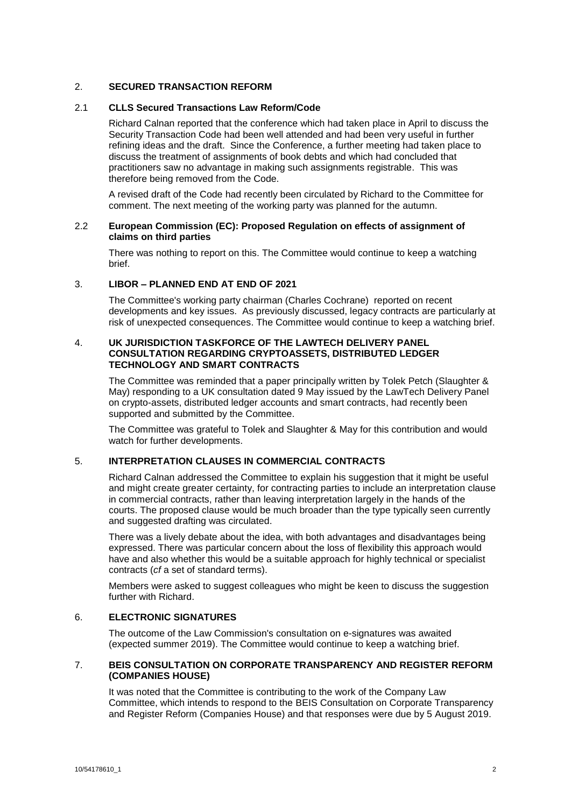# 2. **SECURED TRANSACTION REFORM**

# 2.1 **CLLS Secured Transactions Law Reform/Code**

Richard Calnan reported that the conference which had taken place in April to discuss the Security Transaction Code had been well attended and had been very useful in further refining ideas and the draft. Since the Conference, a further meeting had taken place to discuss the treatment of assignments of book debts and which had concluded that practitioners saw no advantage in making such assignments registrable. This was therefore being removed from the Code.

A revised draft of the Code had recently been circulated by Richard to the Committee for comment. The next meeting of the working party was planned for the autumn.

# 2.2 **European Commission (EC): Proposed Regulation on effects of assignment of claims on third parties**

There was nothing to report on this. The Committee would continue to keep a watching brief.

# 3. **LIBOR – PLANNED END AT END OF 2021**

The Committee's working party chairman (Charles Cochrane) reported on recent developments and key issues. As previously discussed, legacy contracts are particularly at risk of unexpected consequences. The Committee would continue to keep a watching brief.

# 4. **UK JURISDICTION TASKFORCE OF THE LAWTECH DELIVERY PANEL CONSULTATION REGARDING CRYPTOASSETS, DISTRIBUTED LEDGER TECHNOLOGY AND SMART CONTRACTS**

The Committee was reminded that a paper principally written by Tolek Petch (Slaughter & May) responding to a UK consultation dated 9 May issued by the LawTech Delivery Panel on crypto-assets, distributed ledger accounts and smart contracts, had recently been supported and submitted by the Committee.

The Committee was grateful to Tolek and Slaughter & May for this contribution and would watch for further developments.

# 5. **INTERPRETATION CLAUSES IN COMMERCIAL CONTRACTS**

Richard Calnan addressed the Committee to explain his suggestion that it might be useful and might create greater certainty, for contracting parties to include an interpretation clause in commercial contracts, rather than leaving interpretation largely in the hands of the courts. The proposed clause would be much broader than the type typically seen currently and suggested drafting was circulated.

There was a lively debate about the idea, with both advantages and disadvantages being expressed. There was particular concern about the loss of flexibility this approach would have and also whether this would be a suitable approach for highly technical or specialist contracts (*cf* a set of standard terms).

Members were asked to suggest colleagues who might be keen to discuss the suggestion further with Richard.

# 6. **ELECTRONIC SIGNATURES**

The outcome of the Law Commission's consultation on e-signatures was awaited (expected summer 2019). The Committee would continue to keep a watching brief.

# 7. **BEIS CONSULTATION ON CORPORATE TRANSPARENCY AND REGISTER REFORM (COMPANIES HOUSE)**

It was noted that the Committee is contributing to the work of the Company Law Committee, which intends to respond to the BEIS Consultation on Corporate Transparency and Register Reform (Companies House) and that responses were due by 5 August 2019.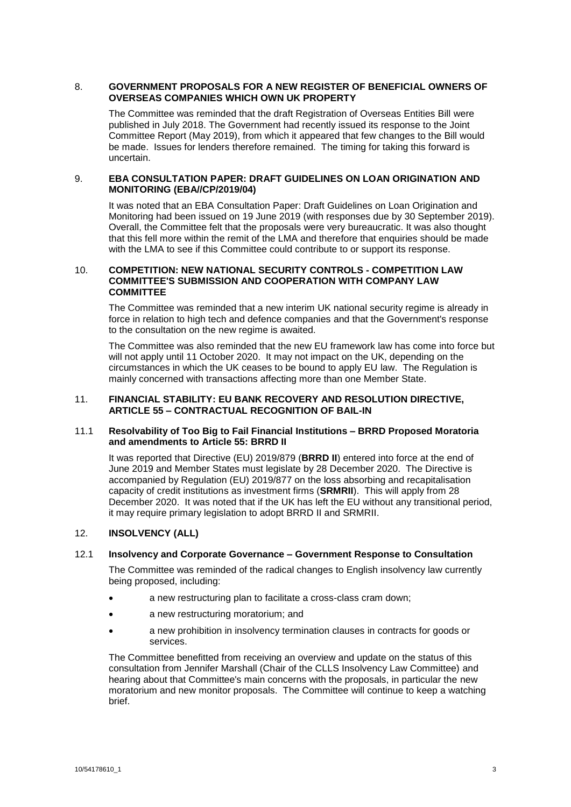# 8. **GOVERNMENT PROPOSALS FOR A NEW REGISTER OF BENEFICIAL OWNERS OF OVERSEAS COMPANIES WHICH OWN UK PROPERTY**

The Committee was reminded that the draft Registration of Overseas Entities Bill were published in July 2018. The Government had recently issued its response to the Joint Committee Report (May 2019), from which it appeared that few changes to the Bill would be made. Issues for lenders therefore remained. The timing for taking this forward is uncertain.

# 9. **EBA CONSULTATION PAPER: DRAFT GUIDELINES ON LOAN ORIGINATION AND MONITORING (EBA//CP/2019/04)**

It was noted that an EBA Consultation Paper: Draft Guidelines on Loan Origination and Monitoring had been issued on 19 June 2019 (with responses due by 30 September 2019). Overall, the Committee felt that the proposals were very bureaucratic. It was also thought that this fell more within the remit of the LMA and therefore that enquiries should be made with the LMA to see if this Committee could contribute to or support its response.

# 10. **COMPETITION: NEW NATIONAL SECURITY CONTROLS - COMPETITION LAW COMMITTEE'S SUBMISSION AND COOPERATION WITH COMPANY LAW COMMITTEE**

The Committee was reminded that a new interim UK national security regime is already in force in relation to high tech and defence companies and that the Government's response to the consultation on the new regime is awaited.

The Committee was also reminded that the new EU framework law has come into force but will not apply until 11 October 2020. It may not impact on the UK, depending on the circumstances in which the UK ceases to be bound to apply EU law. The Regulation is mainly concerned with transactions affecting more than one Member State.

# 11. **FINANCIAL STABILITY: EU BANK RECOVERY AND RESOLUTION DIRECTIVE, ARTICLE 55 – CONTRACTUAL RECOGNITION OF BAIL-IN**

## 11.1 **Resolvability of Too Big to Fail Financial Institutions – BRRD Proposed Moratoria and amendments to Article 55: BRRD II**

It was reported that Directive (EU) 2019/879 (**BRRD II**) entered into force at the end of June 2019 and Member States must legislate by 28 December 2020. The Directive is accompanied by Regulation (EU) 2019/877 on the loss absorbing and recapitalisation capacity of credit institutions as investment firms (**SRMRII**). This will apply from 28 December 2020. It was noted that if the UK has left the EU without any transitional period, it may require primary legislation to adopt BRRD II and SRMRII.

# 12. **INSOLVENCY (ALL)**

## 12.1 **Insolvency and Corporate Governance – Government Response to Consultation**

The Committee was reminded of the radical changes to English insolvency law currently being proposed, including:

- a new restructuring plan to facilitate a cross-class cram down;
- a new restructuring moratorium; and
- a new prohibition in insolvency termination clauses in contracts for goods or services.

The Committee benefitted from receiving an overview and update on the status of this consultation from Jennifer Marshall (Chair of the CLLS Insolvency Law Committee) and hearing about that Committee's main concerns with the proposals, in particular the new moratorium and new monitor proposals. The Committee will continue to keep a watching brief.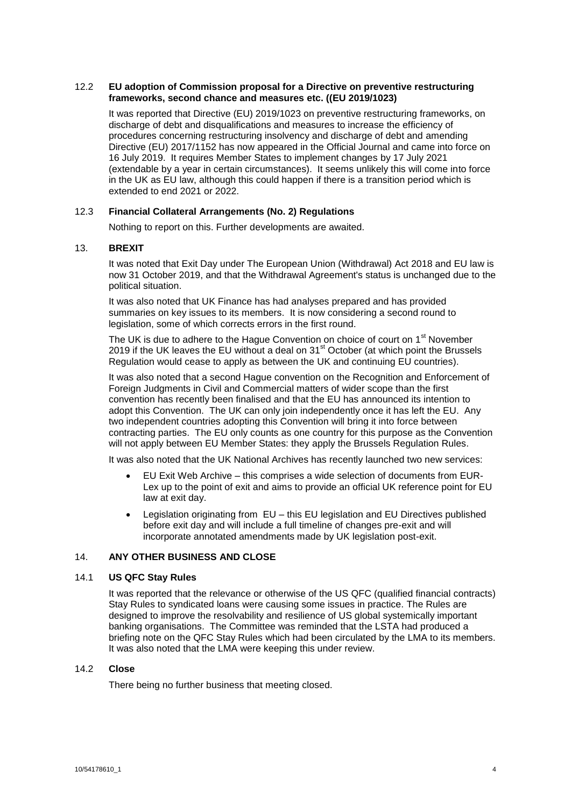# 12.2 **EU adoption of Commission proposal for a Directive on preventive restructuring frameworks, second chance and measures etc. ((EU 2019/1023)**

It was reported that Directive (EU) 2019/1023 on preventive restructuring frameworks, on discharge of debt and disqualifications and measures to increase the efficiency of procedures concerning restructuring insolvency and discharge of debt and amending Directive (EU) 2017/1152 has now appeared in the Official Journal and came into force on 16 July 2019. It requires Member States to implement changes by 17 July 2021 (extendable by a year in certain circumstances). It seems unlikely this will come into force in the UK as EU law, although this could happen if there is a transition period which is extended to end 2021 or 2022.

# 12.3 **Financial Collateral Arrangements (No. 2) Regulations**

Nothing to report on this. Further developments are awaited.

## 13. **BREXIT**

It was noted that Exit Day under The European Union (Withdrawal) Act 2018 and EU law is now 31 October 2019, and that the Withdrawal Agreement's status is unchanged due to the political situation.

It was also noted that UK Finance has had analyses prepared and has provided summaries on key issues to its members. It is now considering a second round to legislation, some of which corrects errors in the first round.

The UK is due to adhere to the Hague Convention on choice of court on 1<sup>st</sup> November 2019 if the UK leaves the EU without a deal on  $31<sup>st</sup>$  October (at which point the Brussels Regulation would cease to apply as between the UK and continuing EU countries).

It was also noted that a second Hague convention on the Recognition and Enforcement of Foreign Judgments in Civil and Commercial matters of wider scope than the first convention has recently been finalised and that the EU has announced its intention to adopt this Convention. The UK can only join independently once it has left the EU. Any two independent countries adopting this Convention will bring it into force between contracting parties. The EU only counts as one country for this purpose as the Convention will not apply between EU Member States: they apply the Brussels Regulation Rules.

It was also noted that the UK National Archives has recently launched two new services:

- EU Exit Web Archive this comprises a wide selection of documents from EUR-Lex up to the point of exit and aims to provide an official UK reference point for EU law at exit day.
- Legislation originating from EU this EU legislation and EU Directives published before exit day and will include a full timeline of changes pre-exit and will incorporate annotated amendments made by UK legislation post-exit.

## 14. **ANY OTHER BUSINESS AND CLOSE**

## 14.1 **US QFC Stay Rules**

It was reported that the relevance or otherwise of the US QFC (qualified financial contracts) Stay Rules to syndicated loans were causing some issues in practice. The Rules are designed to improve the resolvability and resilience of US global systemically important banking organisations. The Committee was reminded that the LSTA had produced a briefing note on the QFC Stay Rules which had been circulated by the LMA to its members. It was also noted that the LMA were keeping this under review.

## 14.2 **Close**

There being no further business that meeting closed.